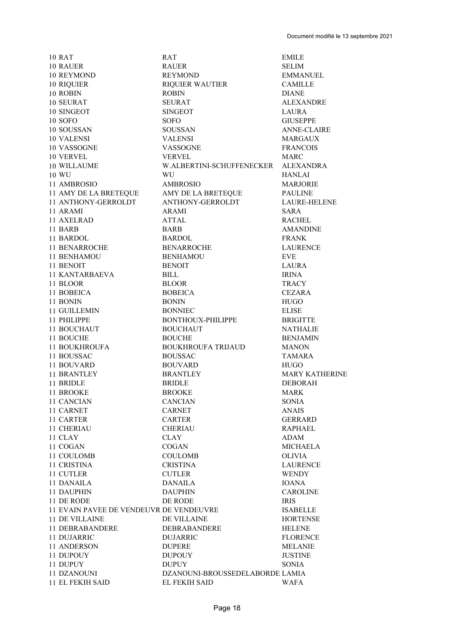**10 RAT 10 RAUER 10 REYMOND** 10 RIQUIER 10 ROBIN 10 SEURAT 10 SINGEOT **10 SOFO** 10 SOUSSAN 10 VALENSI 10 VASSOGNE 10 VERVEL 10 WILLAUME 10 WU 11 AMBROSIO 11 AMY DE LA BRETEQUE 11 ANTHONY-GERROLDT 11 ARAMI 11 AXELRAD 11 BARB 11 BARDOL **11 BENARROCHE** 11 BENHAMOU 11 BENOIT **11 KANTARBAEVA** 11 BLOOR 11 BOBEICA 11 BONIN 11 GUILLEMIN 11 PHILIPPE 11 BOUCHAUT 11 BOUCHE 11 BOUKHROUFA 11 BOUSSAC **11 BOUVARD** 11 BRANTLEY 11 BRIDLE 11 BROOKE 11 CANCIAN 11 CARNET 11 CARTER 11 CHERIAU 11 CLAY 11 COGAN 11 COULOMB **11 CRISTINA** 11 CUTLER 11 DANAILA **11 DAUPHIN** 11 DE RODE 11 EVAIN PAVEE DE VENDEUVR DE VENDEUVRE **11 DE VILLAINE 11 DEBRABANDERE** 11 DUJARRIC 11 ANDERSON 11 DUPOUY 11 DUPUY 11 DZANOUNI

**11 EL FEKIH SAID** 

**RAT RAUER REYMOND RIQUIER WAUTIER ROBIN SEURAT SINGEOT SOFO SOUSSAN VALENSI VASSOGNE VERVEL** W.ALBERTINI-SCHUFFENECKER **WII AMBROSIO** AMY DE LA BRETEQUE **ANTHONY-GERROLDT** ARAMI **ATTAL BARB BARDOL BENARROCHE BENHAMOU BENOIT BILL BLOOR BOBEICA BONIN BONNIEC BONTHOUX-PHILIPPE BOUCHAUT BOUCHE BOUKHROUFA TRIJAUD BOUSSAC BOUVARD BRANTLEY BRIDLE BROOKE CANCIAN CARNET CARTER CHERIAU CLAY** COGAN **COULOMB CRISTINA CUTLER DANAILA DAUPHIN** DE RODE DE VILLAINE DEBRABANDERE **DUJARRIC DUPERE DUPOUY DUPUY** DZANOUNI-BROUSSEDELABORDE LAMIA

**EMILE SELIM EMMANUEL CAMILLE DIANE ALEXANDRE LAURA GIUSEPPE ANNE-CLAIRE MARGAUX FRANCOIS MARC ALEXANDRA HANLAI MARJORIE PAULINE LAURE-HELENE SARA RACHEL AMANDINE FRANK LAURENCE EVE LAURA IRINA TRACY CEZARA HUGO ELISE BRIGITTE NATHALIE BENJAMIN MANON TAMARA HUGO MARY KATHERINE DEBORAH MARK SONIA ANAIS GERRARD RAPHAEL ADAM MICHAELA OLIVIA LAURENCE WENDY IOANA CAROLINE IRIS ISABELLE HORTENSE HELENE FLORENCE MELANIE JUSTINE SONIA WAFA** 

**EL FEKIH SAID**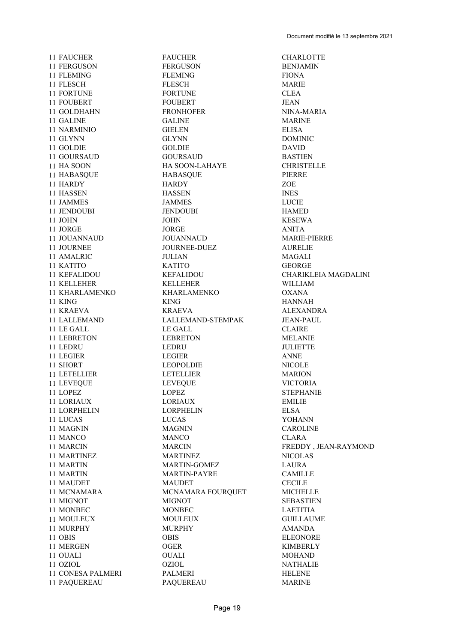11 LEGIER LEGIER

 FAUCHER FAUCHER CHARLOTTE FERGUSON FERGUSON BENJAMIN 11 FLEMING FLEMING FLEMING FIONA FLESCH FLESCH MARIE FORTUNE FORTUNE CLEA 11 FOUBERT FOUBERT JEAN 11 GOLDHAHN FRONHOFER NINA-MARIA GALINE GALINE MARINE NARMINIO GIELEN ELISA GLYNN GLYNN DOMINIC GOLDIE GOLDIE DAVID GOURSAUD GOURSAUD BASTIEN 11 HA SOON HA SOON-LAHAYE CHRISTELLE HABASQUE HABASQUE PIERRE HARDY HARDY ZOE HASSEN HASSEN INES 11 JAMMES JAMMES LUCIE JENDOUBI JENDOUBI HAMED JOHN JOHN KESEWA 11 JORGE ANITA 11 JOUANNAUD JOUANNAUD MARIE-PIERRE<br>11 JOURNEE JOURNEE-DUEZ AURELIE JOURNEE JOURNEE-DUEZ AURELIE AMALRIC JULIAN MAGALI KATITO KATITO GEORGE KELLEHER KELLEHER WILLIAM KHARLAMENKO KHARLAMENKO OXANA KING KING HANNAH 11 KRAEVA KRAEVA ALEXANDRA LALLEMAND LALLEMAND-STEMPAK JEAN-PAUL 11 LE GALL CLAIRE LEBRETON LEBRETON MELANIE 11 LEDRU LEDRU LEDRU JULIETTE 11 LEGIER ANNE SHORT LEOPOLDIE NICOLE 11 LETELLIER LETELLIER MARION LEVEQUE LEVEQUE VICTORIA 11 LOPEZ LOPEZ STEPHANIE LORIAUX LORIAUX EMILIE LORPHELIN LORPHELIN ELSA LUCAS LUCAS YOHANN 11 MAGNIN MAGNIN CAROLINE MANCO MANCO CLARA 11 MARTINEZ MARTINEZ NICOLAS 11 MARTIN MARTIN-GOMEZ LAURA 11 MARTIN MARTIN-PAYRE CAMILLE 11 MAUDET MAUDET MAUDET CECILE 11 MCNAMARA MCNAMARA FOURQUET MICHELLE 11 MIGNOT MIGNOT MIGNOT SEBASTIEN 11 MONBEC MONBEC MONDER LAETITIA 11 MOULEUX MOULEUX GUILLAUME MURPHY MURPHY AMANDA OBIS OBIS ELEONORE MERGEN OGER KIMBERLY OUALI OUALI MOHAND OZIOL OZIOL NATHALIE 11 CONESA PALMERI PALMERI PALMERI HELENE PAQUEREAU PAQUEREAU MARINE

11 KEFALIDOU KEFALIDOU CHARIKLEIA MAGDALINI 11 MARCIN MARCIN FREDDY , JEAN-RAYMOND